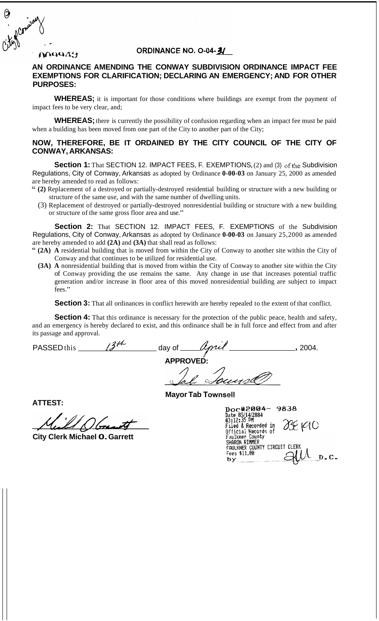#### **MAQQ49**

### ORDINANCE NO. O-04-3/

#### **AN ORDINANCE AMENDING THE CONWAY SUBDIVISION ORDINANCE IMPACT FEE EXEMPTIONS FOR CLARIFICATION; DECLARING AN EMERGENCY; AND FOR OTHER PURPOSES:**

WHEREAS; it is important for those conditions where buildings are exempt from the payment of impact fees to be very clear, and;

**WHEREAS;** there is currently the possibility of confusion regarding when an impact fee must be paid when a building has been moved from one part of the City to another part of the City;

#### **NOW, THEREFORE, BE IT ORDAINED BY THE CITY COUNCIL OF THE CITY OF CONWAY, ARKANSAS:**

**Section 1:** That SECTION 12. IMPACT FEES, F. EXEMPTIONS, (2) and (3) of the Subdivision Regulations, City of Conway, Arkansas as adopted by Ordinance **0-00-03** on January 25, 2000 as amended are hereby amended to read as follows:

- " **(2)** Replacement of a destroyed or partially-destroyed residential building or structure with a new building or structure of the same use, and with the same number of dwelling units.
	- (3) Replacement of destroyed or partially-destroyed nonresidential building or structure with a new building or structure of the same gross floor area and use."

**Section 2:** That SECTION 12. IMPACT FEES, F. EXEMPTIONS of the Subdivision Regulations, City of Conway, Arkansas as adopted by Ordinance **0-00-03** on January 25,2000 as amended are hereby amended to add **(2A)** and **(3A)** that shall read as follows:

- " **(2A) A** residential building that is moved from within the City of Conway to another site within the City of Conway and that continues to be utilized for residential use.
	- **(3A) A** nonresidential building that is moved from within the City of Conway to another site within the City of Conway providing the use remains the same. Any change in use that increases potential traffic generation and/or increase in floor area of this moved nonresidential building are subject to impact fees."

**Section 3:** That all ordinances in conflict herewith are hereby repealed to the extent of that conflict.

**Section 4:** That this ordinance is necessary for the protection of the public peace, health and safety, and an emergency is hereby declared to exist, and this ordinance shall be in full force and effect from and after its passage and approval.

PASSED this  $\frac{34}{4}$  day of  $\frac{4}{4}$  2004.  $\sqrt{ }$ **APPROVED:** 

**Mayor Tab Townsell** 

**ATTEST:** 

**City Clerk Michael 0. Garrett** 

| 9838<br>Doc#2004-                              |
|------------------------------------------------|
| Date 85/14/2884                                |
| 03:12:35 PM<br>058190<br>Filed & Recorded in   |
| Official Records of                            |
| Faulkner County                                |
| SHARON RIMMER<br>FAULKNER COUNTY CIRCUIT CLERK |
| Fees \$11.00                                   |
| - C -                                          |
|                                                |